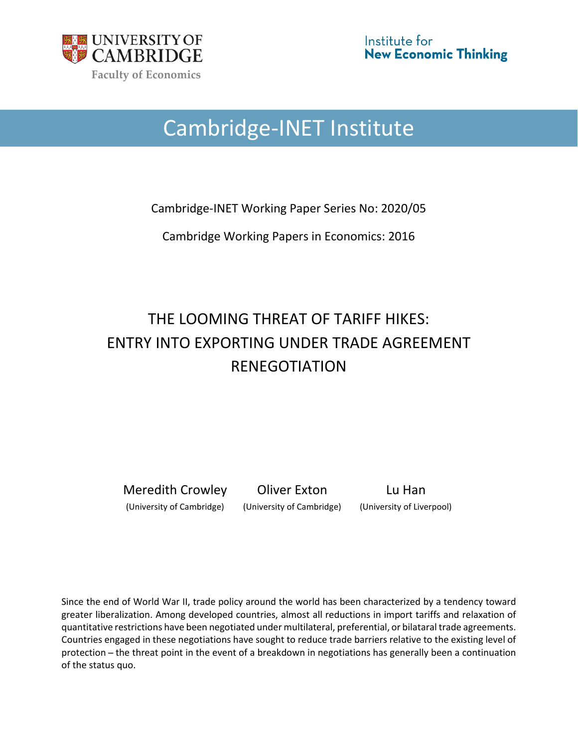

# Cambridge-INET Institute

Cambridge-INET Working Paper Series No: 2020/05

Cambridge Working Papers in Economics: 2016

## THE LOOMING THREAT OF TARIFF HIKES: ENTRY INTO EXPORTING UNDER TRADE AGREEMENT RENEGOTIATION

Meredith Crowley Oliver Exton Lu Han

(University of Cambridge) (University of Cambridge) (University of Liverpool)

Since the end of World War II, trade policy around the world has been characterized by a tendency toward greater liberalization. Among developed countries, almost all reductions in import tariffs and relaxation of quantitative restrictions have been negotiated under multilateral, preferential, or bilataral trade agreements. Countries engaged in these negotiations have sought to reduce trade barriers relative to the existing level of protection ̶ the threat point in the event of a breakdown in negotiations has generally been a continuation of the status quo.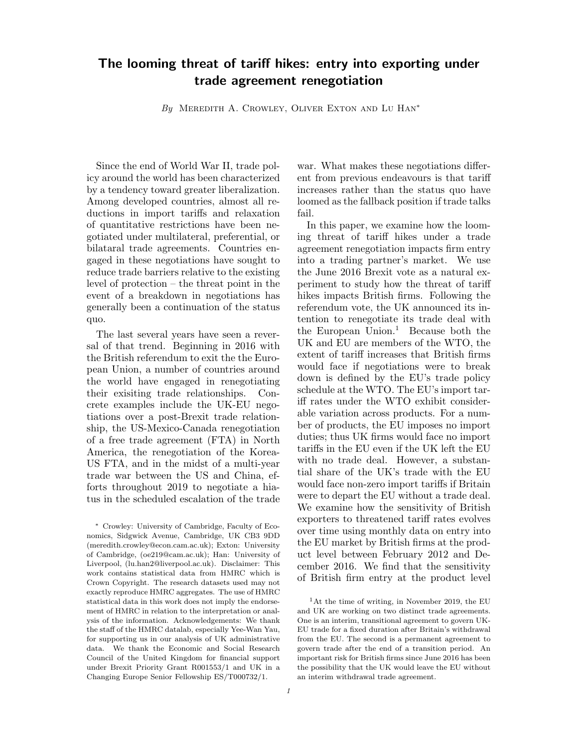### The looming threat of tariff hikes: entry into exporting under trade agreement renegotiation

By MEREDITH A. CROWLEY, OLIVER EXTON AND LU HAN<sup>\*</sup>

Since the end of World War II, trade policy around the world has been characterized by a tendency toward greater liberalization. Among developed countries, almost all reductions in import tariffs and relaxation of quantitative restrictions have been negotiated under multilateral, preferential, or bilataral trade agreements. Countries engaged in these negotiations have sought to reduce trade barriers relative to the existing level of protection – the threat point in the event of a breakdown in negotiations has generally been a continuation of the status quo.

The last several years have seen a reversal of that trend. Beginning in 2016 with the British referendum to exit the the European Union, a number of countries around the world have engaged in renegotiating their exisiting trade relationships. Concrete examples include the UK-EU negotiations over a post-Brexit trade relationship, the US-Mexico-Canada renegotiation of a free trade agreement (FTA) in North America, the renegotiation of the Korea-US FTA, and in the midst of a multi-year trade war between the US and China, efforts throughout 2019 to negotiate a hiatus in the scheduled escalation of the trade

<sup>∗</sup> Crowley: University of Cambridge, Faculty of Economics, Sidgwick Avenue, Cambridge, UK CB3 9DD (meredith.crowley@econ.cam.ac.uk); Exton: University of Cambridge, (oe219@cam.ac.uk); Han: University of Liverpool, (lu.han2@liverpool.ac.uk). Disclaimer: This work contains statistical data from HMRC which is Crown Copyright. The research datasets used may not exactly reproduce HMRC aggregates. The use of HMRC statistical data in this work does not imply the endorsement of HMRC in relation to the interpretation or analysis of the information. Acknowledgements: We thank the staff of the HMRC datalab, especially Yee-Wan Yau, for supporting us in our analysis of UK administrative data. We thank the Economic and Social Research Council of the United Kingdom for financial support under Brexit Priority Grant R001553/1 and UK in a Changing Europe Senior Fellowship ES/T000732/1.

war. What makes these negotiations different from previous endeavours is that tariff increases rather than the status quo have loomed as the fallback position if trade talks fail.

In this paper, we examine how the looming threat of tariff hikes under a trade agreement renegotiation impacts firm entry into a trading partner's market. We use the June 2016 Brexit vote as a natural experiment to study how the threat of tariff hikes impacts British firms. Following the referendum vote, the UK announced its intention to renegotiate its trade deal with the European Union.<sup>1</sup> Because both the UK and EU are members of the WTO, the extent of tariff increases that British firms would face if negotiations were to break down is defined by the EU's trade policy schedule at the WTO. The EU's import tariff rates under the WTO exhibit considerable variation across products. For a number of products, the EU imposes no import duties; thus UK firms would face no import tariffs in the EU even if the UK left the EU with no trade deal. However, a substantial share of the UK's trade with the EU would face non-zero import tariffs if Britain were to depart the EU without a trade deal. We examine how the sensitivity of British exporters to threatened tariff rates evolves over time using monthly data on entry into the EU market by British firms at the product level between February 2012 and December 2016. We find that the sensitivity of British firm entry at the product level

 $1$ At the time of writing, in November 2019, the EU and UK are working on two distinct trade agreements. One is an interim, transitional agreement to govern UK-EU trade for a fixed duration after Britain's withdrawal from the EU. The second is a permanent agreement to govern trade after the end of a transition period. An important risk for British firms since June 2016 has been the possibility that the UK would leave the EU without an interim withdrawal trade agreement.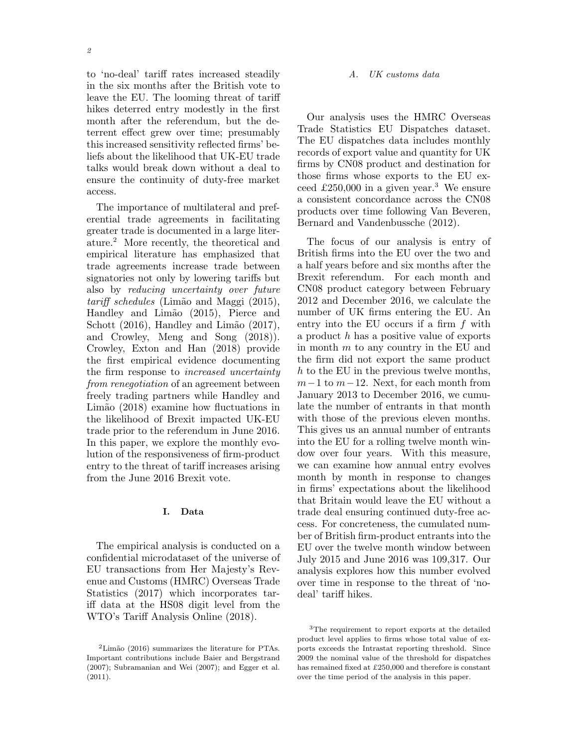to 'no-deal' tariff rates increased steadily in the six months after the British vote to leave the EU. The looming threat of tariff hikes deterred entry modestly in the first month after the referendum, but the deterrent effect grew over time; presumably this increased sensitivity reflected firms' beliefs about the likelihood that UK-EU trade talks would break down without a deal to ensure the continuity of duty-free market access.

The importance of multilateral and preferential trade agreements in facilitating greater trade is documented in a large literature.<sup>2</sup> More recently, the theoretical and empirical literature has emphasized that trade agreements increase trade between signatories not only by lowering tariffs but also by reducing uncertainty over future  $tariff$  schedules (Limão and Maggi (2015), Handley and Limão (2015), Pierce and Schott  $(2016)$ , Handley and Limão  $(2017)$ , and Crowley, Meng and Song (2018)). Crowley, Exton and Han (2018) provide the first empirical evidence documenting the firm response to increased uncertainty from renegotiation of an agreement between freely trading partners while Handley and Limão (2018) examine how fluctuations in the likelihood of Brexit impacted UK-EU trade prior to the referendum in June 2016. In this paper, we explore the monthly evolution of the responsiveness of firm-product entry to the threat of tariff increases arising from the June 2016 Brexit vote.

#### I. Data

The empirical analysis is conducted on a confidential microdataset of the universe of EU transactions from Her Majesty's Revenue and Customs (HMRC) Overseas Trade Statistics (2017) which incorporates tariff data at the HS08 digit level from the WTO's Tariff Analysis Online (2018).

#### A. UK customs data

Our analysis uses the HMRC Overseas Trade Statistics EU Dispatches dataset. The EU dispatches data includes monthly records of export value and quantity for UK firms by CN08 product and destination for those firms whose exports to the EU exceed  $\pounds 250,000$  in a given year.<sup>3</sup> We ensure a consistent concordance across the CN08 products over time following Van Beveren, Bernard and Vandenbussche (2012).

The focus of our analysis is entry of British firms into the EU over the two and a half years before and six months after the Brexit referendum. For each month and CN08 product category between February 2012 and December 2016, we calculate the number of UK firms entering the EU. An entry into the EU occurs if a firm f with a product h has a positive value of exports in month m to any country in the EU and the firm did not export the same product h to the EU in the previous twelve months,  $m-1$  to  $m-12$ . Next, for each month from January 2013 to December 2016, we cumulate the number of entrants in that month with those of the previous eleven months. This gives us an annual number of entrants into the EU for a rolling twelve month window over four years. With this measure, we can examine how annual entry evolves month by month in response to changes in firms' expectations about the likelihood that Britain would leave the EU without a trade deal ensuring continued duty-free access. For concreteness, the cumulated number of British firm-product entrants into the EU over the twelve month window between July 2015 and June 2016 was 109,317. Our analysis explores how this number evolved over time in response to the threat of 'nodeal' tariff hikes.

 $2$ Limão (2016) summarizes the literature for PTAs. Important contributions include Baier and Bergstrand (2007); Subramanian and Wei (2007); and Egger et al.  $(2011).$ 

<sup>3</sup>The requirement to report exports at the detailed product level applies to firms whose total value of exports exceeds the Intrastat reporting threshold. Since 2009 the nominal value of the threshold for dispatches has remained fixed at £250,000 and therefore is constant over the time period of the analysis in this paper.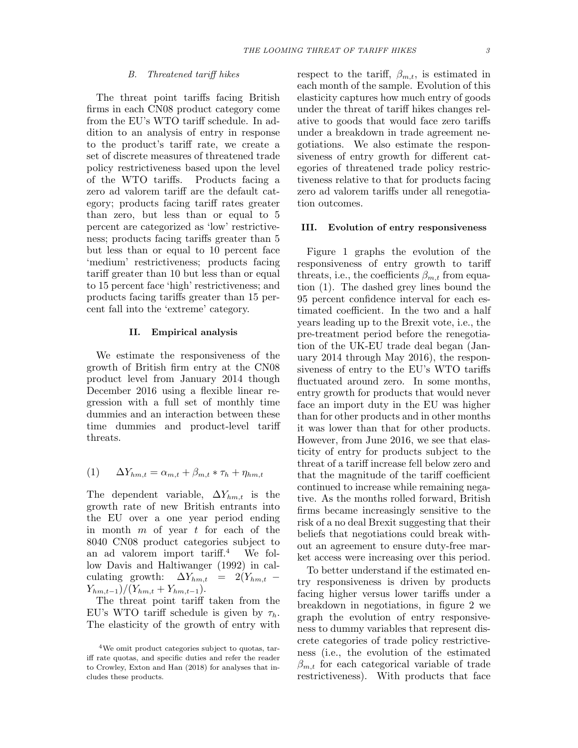#### B. Threatened tariff hikes

The threat point tariffs facing British firms in each CN08 product category come from the EU's WTO tariff schedule. In addition to an analysis of entry in response to the product's tariff rate, we create a set of discrete measures of threatened trade policy restrictiveness based upon the level of the WTO tariffs. Products facing a zero ad valorem tariff are the default category; products facing tariff rates greater than zero, but less than or equal to 5 percent are categorized as 'low' restrictiveness; products facing tariffs greater than 5 but less than or equal to 10 percent face 'medium' restrictiveness; products facing tariff greater than 10 but less than or equal to 15 percent face 'high' restrictiveness; and products facing tariffs greater than 15 percent fall into the 'extreme' category.

#### II. Empirical analysis

We estimate the responsiveness of the growth of British firm entry at the CN08 product level from January 2014 though December 2016 using a flexible linear regression with a full set of monthly time dummies and an interaction between these time dummies and product-level tariff threats.

$$
(1) \qquad \Delta Y_{hm,t} = \alpha_{m,t} + \beta_{m,t} * \tau_h + \eta_{hm,t}
$$

The dependent variable,  $\Delta Y_{hm,t}$  is the growth rate of new British entrants into the EU over a one year period ending in month  $m$  of year  $t$  for each of the 8040 CN08 product categories subject to an ad valorem import tariff.<sup>4</sup> We follow Davis and Haltiwanger (1992) in calculating growth:  $\Delta Y_{hm,t} = 2(Y_{hm,t} Y_{hm,t-1})/(Y_{hm,t} + Y_{hm,t-1}).$ 

The threat point tariff taken from the EU's WTO tariff schedule is given by  $\tau_h$ . The elasticity of the growth of entry with

respect to the tariff,  $\beta_{m,t}$ , is estimated in each month of the sample. Evolution of this elasticity captures how much entry of goods under the threat of tariff hikes changes relative to goods that would face zero tariffs under a breakdown in trade agreement negotiations. We also estimate the responsiveness of entry growth for different categories of threatened trade policy restrictiveness relative to that for products facing zero ad valorem tariffs under all renegotiation outcomes.

#### III. Evolution of entry responsiveness

Figure 1 graphs the evolution of the responsiveness of entry growth to tariff threats, i.e., the coefficients  $\beta_{m,t}$  from equation (1). The dashed grey lines bound the 95 percent confidence interval for each estimated coefficient. In the two and a half years leading up to the Brexit vote, i.e., the pre-treatment period before the renegotiation of the UK-EU trade deal began (January 2014 through May 2016), the responsiveness of entry to the EU's WTO tariffs fluctuated around zero. In some months, entry growth for products that would never face an import duty in the EU was higher than for other products and in other months it was lower than that for other products. However, from June 2016, we see that elasticity of entry for products subject to the threat of a tariff increase fell below zero and that the magnitude of the tariff coefficient continued to increase while remaining negative. As the months rolled forward, British firms became increasingly sensitive to the risk of a no deal Brexit suggesting that their beliefs that negotiations could break without an agreement to ensure duty-free market access were increasing over this period.

To better understand if the estimated entry responsiveness is driven by products facing higher versus lower tariffs under a breakdown in negotiations, in figure 2 we graph the evolution of entry responsiveness to dummy variables that represent discrete categories of trade policy restrictiveness (i.e., the evolution of the estimated  $\beta_{m,t}$  for each categorical variable of trade restrictiveness). With products that face

<sup>4</sup>We omit product categories subject to quotas, tariff rate quotas, and specific duties and refer the reader to Crowley, Exton and Han (2018) for analyses that includes these products.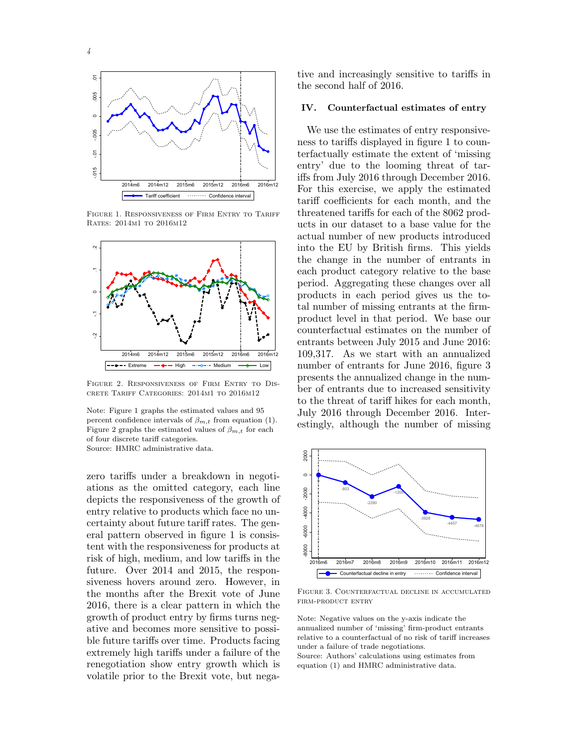



FIGURE 1. RESPONSIVENESS OF FIRM ENTRY TO TARIFF Rates: 2014m1 to 2016m12



Figure 2. Responsiveness of Firm Entry to Discrete Tariff Categories: 2014m1 to 2016m12

Note: Figure 1 graphs the estimated values and 95 percent confidence intervals of  $\beta_{m,t}$  from equation (1). Figure 2 graphs the estimated values of  $\beta_{m,t}$  for each of four discrete tariff categories. Source: HMRC administrative data.

zero tariffs under a breakdown in negotiations as the omitted category, each line depicts the responsiveness of the growth of entry relative to products which face no uncertainty about future tariff rates. The general pattern observed in figure 1 is consistent with the responsiveness for products at risk of high, medium, and low tariffs in the future. Over 2014 and 2015, the responsiveness hovers around zero. However, in the months after the Brexit vote of June 2016, there is a clear pattern in which the growth of product entry by firms turns negative and becomes more sensitive to possible future tariffs over time. Products facing extremely high tariffs under a failure of the renegotiation show entry growth which is volatile prior to the Brexit vote, but negative and increasingly sensitive to tariffs in the second half of 2016.

#### IV. Counterfactual estimates of entry

 $\frac{2014\text{m}6}{\text{cm}^2}$   $\frac{2015\text{m}6}{\text{cm}^2}$   $\frac{2016\text{m}6}{\text{cm}^2}$   $\frac{2016\text{m}6}{\text{cm}^2}$   $\frac{2016\text{m}6}{\text{cm}^2}$   $\frac{2016\text{m}6}{\text{cm}^2}$   $\frac{2016\text{m}6}{\text{cm}^2}$   $\frac{2016\text{m}6}{\text{cm}^2}$   $\frac{2016\text{m}6}{\text{cm}^$  $\frac{2014}{{\sf m6}}$  2014 $\frac{{\sf m12}}{{\sf m12}}$  2015 $\frac{{\sf m12}}{{\sf m12}}$  2016 $\frac{{\sf m12}}{{\sf m12}}$  109,317. As we start with an annualized Extreme  $\rightarrow$  - High  $\rightarrow$  - Medium  $\rightarrow$  Low number of entrants for June 2016, figure 3 We use the estimates of entry responsiveness to tariffs displayed in figure 1 to counterfactually estimate the extent of 'missing entry' due to the looming threat of tariffs from July 2016 through December 2016. tariff coefficients for each month, and the threatened tariffs for each of the 8062 products in our dataset to a base value for the actual number of new products introduced into the EU by British firms. This yields the change in the number of entrants in each product category relative to the base period. Aggregating these changes over all products in each period gives us the total number of missing entrants at the firmproduct level in that period. We base our entrants between July 2015 and June 2016: presents the annualized change in the number of entrants due to increased sensitivity to the threat of tariff hikes for each month, July 2016 through December 2016. Interestingly, although the number of missing



Figure 3. Counterfactual decline in accumulated firm-product entry

Note: Negative values on the y-axis indicate the annualized number of 'missing' firm-product entrants relative to a counterfactual of no risk of tariff increases under a failure of trade negotiations. Source: Authors' calculations using estimates from equation (1) and HMRC administrative data.